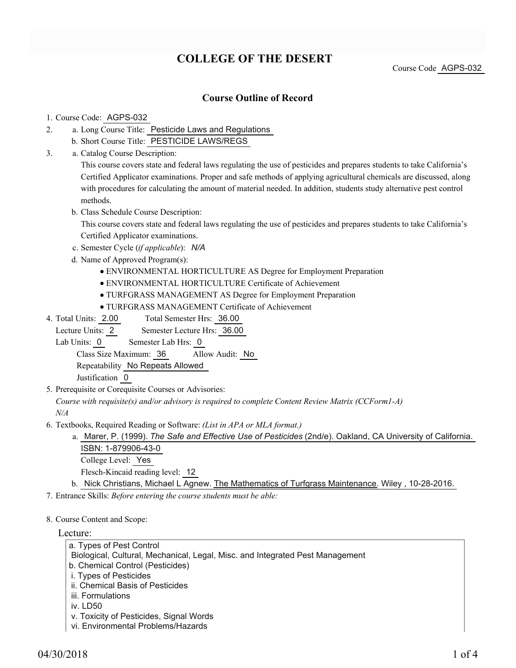# **COLLEGE OF THE DESERT**

Course Code AGPS-032

### **Course Outline of Record**

### 1. Course Code: AGPS-032

- a. Long Course Title: Pesticide Laws and Regulations 2.
	- b. Short Course Title: PESTICIDE LAWS/REGS
- Catalog Course Description: a. 3.

This course covers state and federal laws regulating the use of pesticides and prepares students to take California's Certified Applicator examinations. Proper and safe methods of applying agricultural chemicals are discussed, along with procedures for calculating the amount of material needed. In addition, students study alternative pest control methods.

b. Class Schedule Course Description:

This course covers state and federal laws regulating the use of pesticides and prepares students to take California's Certified Applicator examinations.

- c. Semester Cycle (*if applicable*): *N/A*
- d. Name of Approved Program(s):
	- ENVIRONMENTAL HORTICULTURE AS Degree for Employment Preparation
	- ENVIRONMENTAL HORTICULTURE Certificate of Achievement
	- TURFGRASS MANAGEMENT AS Degree for Employment Preparation
	- TURFGRASS MANAGEMENT Certificate of Achievement
- Total Semester Hrs: 36.00 4. Total Units: 2.00

Lecture Units: 2 Semester Lecture Hrs: 36.00

Lab Units: 0 Semester Lab Hrs: 0

Class Size Maximum: 36 Allow Audit: No

Repeatability No Repeats Allowed

Justification 0

5. Prerequisite or Corequisite Courses or Advisories:

*Course with requisite(s) and/or advisory is required to complete Content Review Matrix (CCForm1-A) N/A*

- Textbooks, Required Reading or Software: *(List in APA or MLA format.)* 6.
	- a. Marer, P. (1999). *The Safe and Effective Use of Pesticides* (2nd/e). Oakland, CA University of California. ISBN: 1-879906-43-0 College Level: Yes Flesch-Kincaid reading level: 12
	- b. Nick Christians, Michael L Agnew. The Mathematics of Turfgrass Maintenance. Wiley, 10-28-2016.

7. Entrance Skills: *Before entering the course students must be able:*

### 8. Course Content and Scope:

### Lecture:

- a. Types of Pest Control
- Biological, Cultural, Mechanical, Legal, Misc. and Integrated Pest Management
- b. Chemical Control (Pesticides)
- i. Types of Pesticides
- ii. Chemical Basis of Pesticides
- iii. Formulations
- iv. LD50
- v. Toxicity of Pesticides, Signal Words
- vi. Environmental Problems/Hazards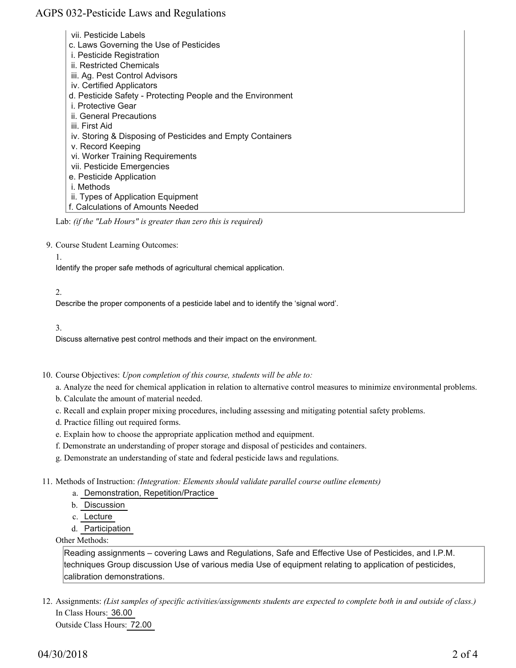## AGPS 032-Pesticide Laws and Regulations

 vii. Pesticide Labels c. Laws Governing the Use of Pesticides i. Pesticide Registration ii. Restricted Chemicals iii. Ag. Pest Control Advisors iv. Certified Applicators d. Pesticide Safety - Protecting People and the Environment i. Protective Gear ii. General Precautions iii. First Aid iv. Storing & Disposing of Pesticides and Empty Containers v. Record Keeping vi. Worker Training Requirements vii. Pesticide Emergencies e. Pesticide Application i. Methods ii. Types of Application Equipment f. Calculations of Amounts Needed

Lab: *(if the "Lab Hours" is greater than zero this is required)*

9. Course Student Learning Outcomes:

#### 1.

Identify the proper safe methods of agricultural chemical application.

#### 2.

Describe the proper components of a pesticide label and to identify the 'signal word'.

#### 3.

Discuss alternative pest control methods and their impact on the environment.

10. Course Objectives: Upon completion of this course, students will be able to:

a. Analyze the need for chemical application in relation to alternative control measures to minimize environmental problems.

- b. Calculate the amount of material needed.
- c. Recall and explain proper mixing procedures, including assessing and mitigating potential safety problems.
- d. Practice filling out required forms.
- e. Explain how to choose the appropriate application method and equipment.
- f. Demonstrate an understanding of proper storage and disposal of pesticides and containers.
- g. Demonstrate an understanding of state and federal pesticide laws and regulations.

11. Methods of Instruction: *(Integration: Elements should validate parallel course outline elements)* 

- a. Demonstration, Repetition/Practice
- b. Discussion
- c. Lecture
- d. Participation

Other Methods:

Reading assignments – covering Laws and Regulations, Safe and Effective Use of Pesticides, and I.P.M. techniques Group discussion Use of various media Use of equipment relating to application of pesticides, calibration demonstrations.

12. Assignments: (List samples of specific activities/assignments students are expected to complete both in and outside of class.) In Class Hours: 36.00

Outside Class Hours: 72.00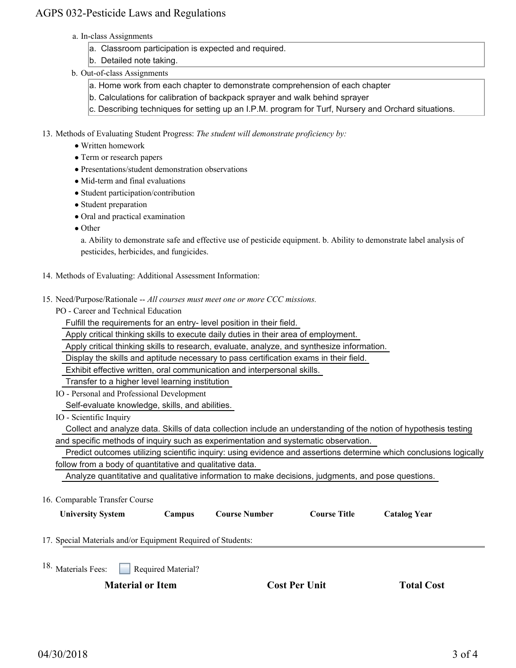## AGPS 032-Pesticide Laws and Regulations

- a. In-class Assignments
	- a. Classroom participation is expected and required.
	- b. Detailed note taking.
- b. Out-of-class Assignments
	- a. Home work from each chapter to demonstrate comprehension of each chapter
	- b. Calculations for calibration of backpack sprayer and walk behind sprayer
	- c. Describing techniques for setting up an I.P.M. program for Turf, Nursery and Orchard situations.
- 13. Methods of Evaluating Student Progress: The student will demonstrate proficiency by:
	- Written homework
	- Term or research papers
	- Presentations/student demonstration observations
	- Mid-term and final evaluations
	- Student participation/contribution
	- Student preparation
	- Oral and practical examination
	- Other

a. Ability to demonstrate safe and effective use of pesticide equipment. b. Ability to demonstrate label analysis of pesticides, herbicides, and fungicides.

- 14. Methods of Evaluating: Additional Assessment Information:
- 15. Need/Purpose/Rationale -- All courses must meet one or more CCC missions.

PO - Career and Technical Education

Fulfill the requirements for an entry- level position in their field.

Apply critical thinking skills to execute daily duties in their area of employment.

Apply critical thinking skills to research, evaluate, analyze, and synthesize information.

Display the skills and aptitude necessary to pass certification exams in their field.

Exhibit effective written, oral communication and interpersonal skills.

Transfer to a higher level learning institution

- IO Personal and Professional Development Self-evaluate knowledge, skills, and abilities.
- IO Scientific Inquiry

 Collect and analyze data. Skills of data collection include an understanding of the notion of hypothesis testing and specific methods of inquiry such as experimentation and systematic observation.

 Predict outcomes utilizing scientific inquiry: using evidence and assertions determine which conclusions logically follow from a body of quantitative and qualitative data.

Analyze quantitative and qualitative information to make decisions, judgments, and pose questions.

16. Comparable Transfer Course

| <b>University System</b>                                     | Campus | <b>Course Number</b> | Course Title | Catalog Year |  |
|--------------------------------------------------------------|--------|----------------------|--------------|--------------|--|
| 17. Special Materials and/or Equipment Required of Students: |        |                      |              |              |  |
|                                                              |        |                      |              |              |  |

Required Material? <sup>18.</sup> Materials Fees:

**Material or Item Cost Per Unit Total Cost** 

| <b>Cost Per Unit</b> |  |  |
|----------------------|--|--|
|----------------------|--|--|